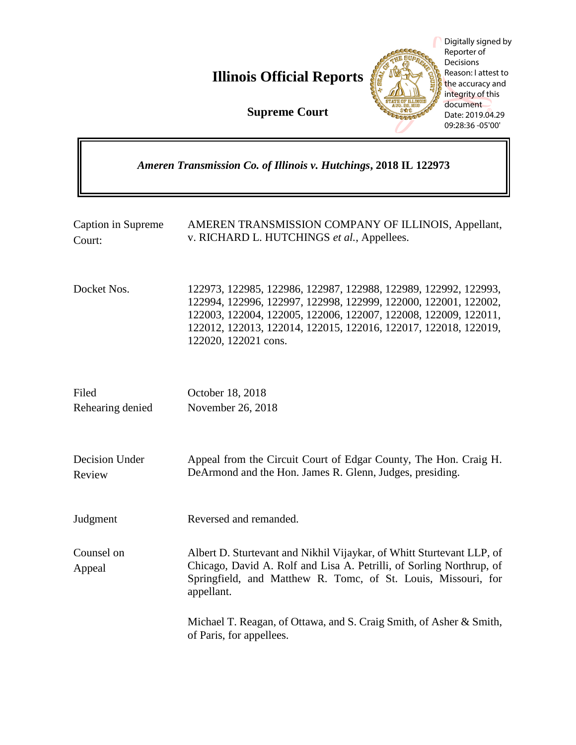**Illinois Official Reports** 

**Supreme Court**



Digitally signed by Reporter of **Decisions** Reason: I attest to the accuracy and integrity of this document Date: 2019.04.29 09:28:36 -05'00'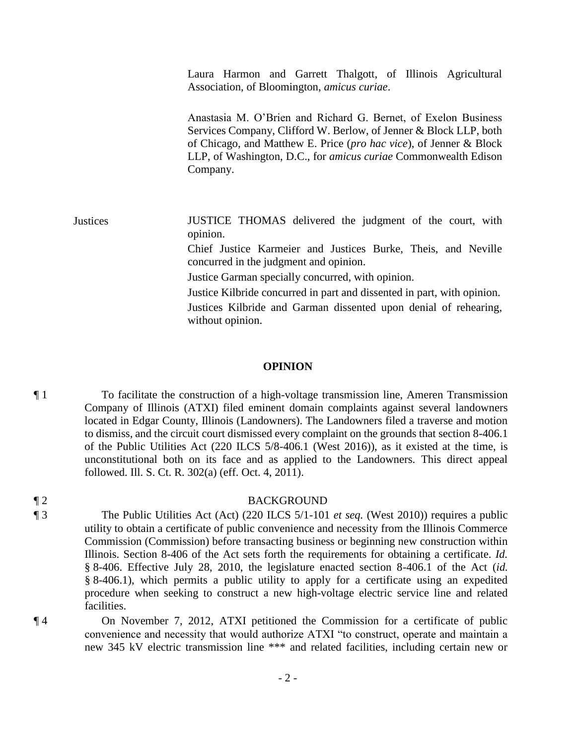Laura Harmon and Garrett Thalgott, of Illinois Agricultural Association, of Bloomington, *amicus curiae*.

Anastasia M. O'Brien and Richard G. Bernet, of Exelon Business Services Company, Clifford W. Berlow, of Jenner & Block LLP, both of Chicago, and Matthew E. Price (*pro hac vice*), of Jenner & Block LLP, of Washington, D.C., for *amicus curiae* Commonwealth Edison Company.

Justices JUSTICE THOMAS delivered the judgment of the court, with opinion. Chief Justice Karmeier and Justices Burke, Theis, and Neville concurred in the judgment and opinion. Justice Garman specially concurred, with opinion. Justice Kilbride concurred in part and dissented in part, with opinion. Justices Kilbride and Garman dissented upon denial of rehearing,

without opinion.

#### **OPINION**

¶ 1 To facilitate the construction of a high-voltage transmission line, Ameren Transmission Company of Illinois (ATXI) filed eminent domain complaints against several landowners located in Edgar County, Illinois (Landowners). The Landowners filed a traverse and motion to dismiss, and the circuit court dismissed every complaint on the grounds that section 8-406.1 of the Public Utilities Act (220 ILCS 5/8-406.1 (West 2016)), as it existed at the time, is unconstitutional both on its face and as applied to the Landowners. This direct appeal followed. Ill. S. Ct. R. 302(a) (eff. Oct. 4, 2011).

#### ¶ 2 BACKGROUND

¶ 3 The Public Utilities Act (Act) (220 ILCS 5/1-101 *et seq.* (West 2010)) requires a public utility to obtain a certificate of public convenience and necessity from the Illinois Commerce Commission (Commission) before transacting business or beginning new construction within Illinois. Section 8-406 of the Act sets forth the requirements for obtaining a certificate. *Id.* § 8-406. Effective July 28, 2010, the legislature enacted section 8-406.1 of the Act (*id.* § 8-406.1), which permits a public utility to apply for a certificate using an expedited procedure when seeking to construct a new high-voltage electric service line and related facilities.

¶ 4 On November 7, 2012, ATXI petitioned the Commission for a certificate of public convenience and necessity that would authorize ATXI "to construct, operate and maintain a new 345 kV electric transmission line \*\*\* and related facilities, including certain new or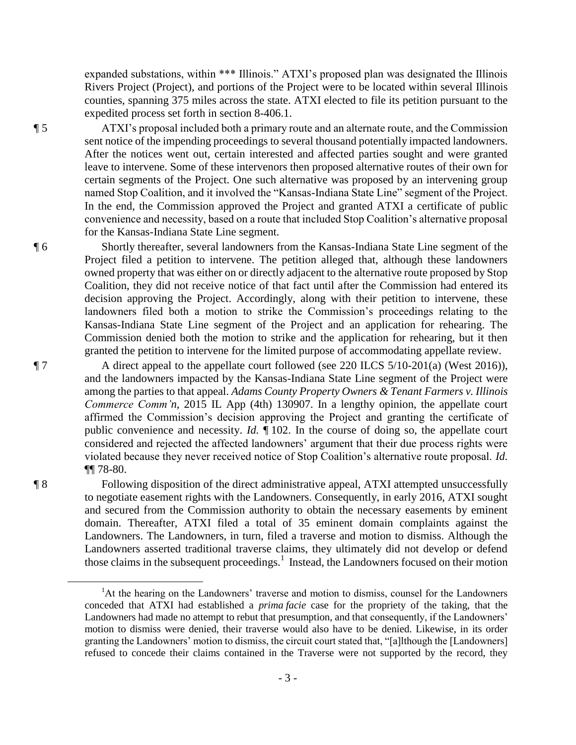expanded substations, within \*\*\* Illinois." ATXI's proposed plan was designated the Illinois Rivers Project (Project), and portions of the Project were to be located within several Illinois counties, spanning 375 miles across the state. ATXI elected to file its petition pursuant to the expedited process set forth in section 8-406.1.

¶ 5 ATXI's proposal included both a primary route and an alternate route, and the Commission sent notice of the impending proceedings to several thousand potentially impacted landowners. After the notices went out, certain interested and affected parties sought and were granted leave to intervene. Some of these intervenors then proposed alternative routes of their own for certain segments of the Project. One such alternative was proposed by an intervening group named Stop Coalition, and it involved the "Kansas-Indiana State Line" segment of the Project. In the end, the Commission approved the Project and granted ATXI a certificate of public convenience and necessity, based on a route that included Stop Coalition's alternative proposal for the Kansas-Indiana State Line segment.

¶ 6 Shortly thereafter, several landowners from the Kansas-Indiana State Line segment of the Project filed a petition to intervene. The petition alleged that, although these landowners owned property that was either on or directly adjacent to the alternative route proposed by Stop Coalition, they did not receive notice of that fact until after the Commission had entered its decision approving the Project. Accordingly, along with their petition to intervene, these landowners filed both a motion to strike the Commission's proceedings relating to the Kansas-Indiana State Line segment of the Project and an application for rehearing. The Commission denied both the motion to strike and the application for rehearing, but it then granted the petition to intervene for the limited purpose of accommodating appellate review.

¶ 7 A direct appeal to the appellate court followed (see 220 ILCS 5/10-201(a) (West 2016)), and the landowners impacted by the Kansas-Indiana State Line segment of the Project were among the parties to that appeal. *Adams County Property Owners & Tenant Farmers v. Illinois Commerce Comm'n,* 2015 IL App (4th) 130907. In a lengthy opinion, the appellate court affirmed the Commission's decision approving the Project and granting the certificate of public convenience and necessity. *Id.* ¶ 102. In the course of doing so, the appellate court considered and rejected the affected landowners' argument that their due process rights were violated because they never received notice of Stop Coalition's alternative route proposal. *Id.* ¶¶ 78-80.

¶ 8 Following disposition of the direct administrative appeal, ATXI attempted unsuccessfully to negotiate easement rights with the Landowners. Consequently, in early 2016, ATXI sought and secured from the Commission authority to obtain the necessary easements by eminent domain. Thereafter, ATXI filed a total of 35 eminent domain complaints against the Landowners. The Landowners, in turn, filed a traverse and motion to dismiss. Although the Landowners asserted traditional traverse claims, they ultimately did not develop or defend those claims in the subsequent proceedings. 1 Instead, the Landowners focused on their motion

 $\overline{a}$ 

<sup>&</sup>lt;sup>1</sup>At the hearing on the Landowners' traverse and motion to dismiss, counsel for the Landowners conceded that ATXI had established a *prima facie* case for the propriety of the taking, that the Landowners had made no attempt to rebut that presumption, and that consequently, if the Landowners' motion to dismiss were denied, their traverse would also have to be denied. Likewise, in its order granting the Landowners' motion to dismiss, the circuit court stated that, "[a]lthough the [Landowners] refused to concede their claims contained in the Traverse were not supported by the record, they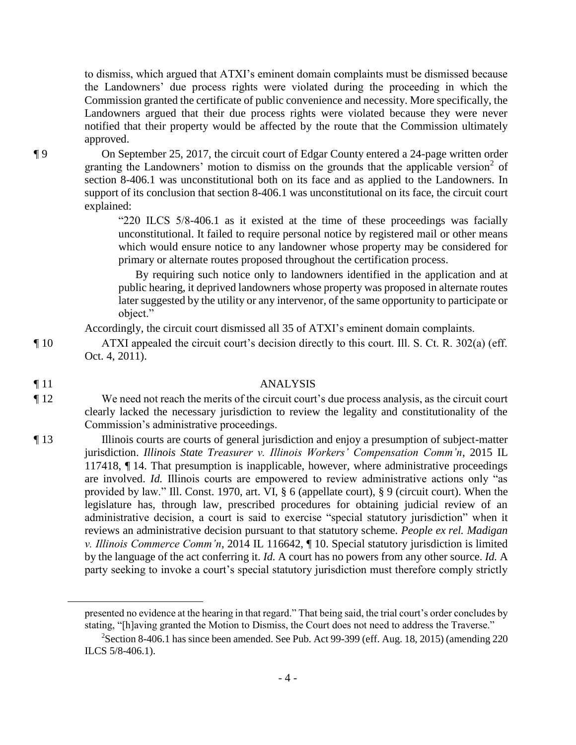to dismiss, which argued that ATXI's eminent domain complaints must be dismissed because the Landowners' due process rights were violated during the proceeding in which the Commission granted the certificate of public convenience and necessity. More specifically, the Landowners argued that their due process rights were violated because they were never notified that their property would be affected by the route that the Commission ultimately approved.

¶ 9 On September 25, 2017, the circuit court of Edgar County entered a 24-page written order granting the Landowners' motion to dismiss on the grounds that the applicable version<sup>2</sup> of section 8-406.1 was unconstitutional both on its face and as applied to the Landowners. In support of its conclusion that section 8-406.1 was unconstitutional on its face, the circuit court explained:

> "220 ILCS 5/8-406.1 as it existed at the time of these proceedings was facially unconstitutional. It failed to require personal notice by registered mail or other means which would ensure notice to any landowner whose property may be considered for primary or alternate routes proposed throughout the certification process.

> By requiring such notice only to landowners identified in the application and at public hearing, it deprived landowners whose property was proposed in alternate routes later suggested by the utility or any intervenor, of the same opportunity to participate or object."

Accordingly, the circuit court dismissed all 35 of ATXI's eminent domain complaints.

¶ 10 ATXI appealed the circuit court's decision directly to this court. Ill. S. Ct. R. 302(a) (eff. Oct. 4, 2011).

 $\overline{a}$ 

## ¶ 11 ANALYSIS

- ¶ 12 We need not reach the merits of the circuit court's due process analysis, as the circuit court clearly lacked the necessary jurisdiction to review the legality and constitutionality of the Commission's administrative proceedings.
- ¶ 13 Illinois courts are courts of general jurisdiction and enjoy a presumption of subject-matter jurisdiction. *Illinois State Treasurer v. Illinois Workers' Compensation Comm'n*, 2015 IL 117418, ¶ 14. That presumption is inapplicable, however, where administrative proceedings are involved. *Id.* Illinois courts are empowered to review administrative actions only "as provided by law." Ill. Const. 1970, art. VI, § 6 (appellate court), § 9 (circuit court). When the legislature has, through law, prescribed procedures for obtaining judicial review of an administrative decision, a court is said to exercise "special statutory jurisdiction" when it reviews an administrative decision pursuant to that statutory scheme. *People ex rel. Madigan v. Illinois Commerce Comm'n*, 2014 IL 116642, ¶ 10. Special statutory jurisdiction is limited by the language of the act conferring it. *Id.* A court has no powers from any other source. *Id.* A party seeking to invoke a court's special statutory jurisdiction must therefore comply strictly

presented no evidence at the hearing in that regard." That being said, the trial court's order concludes by stating, "[h]aving granted the Motion to Dismiss, the Court does not need to address the Traverse."

 $2$ Section 8-406.1 has since been amended. See Pub. Act 99-399 (eff. Aug. 18, 2015) (amending 220 ILCS 5/8-406.1).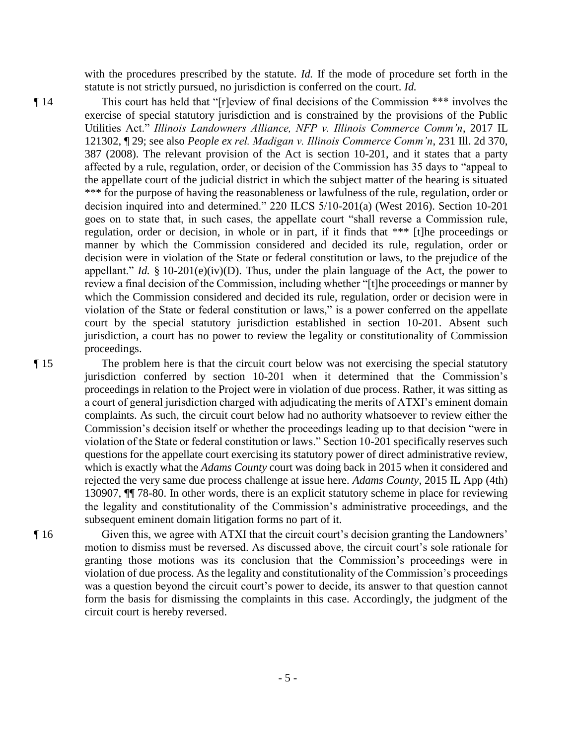with the procedures prescribed by the statute. *Id.* If the mode of procedure set forth in the statute is not strictly pursued, no jurisdiction is conferred on the court. *Id.*

¶ 14 This court has held that "[r]eview of final decisions of the Commission \*\*\* involves the exercise of special statutory jurisdiction and is constrained by the provisions of the Public Utilities Act." *Illinois Landowners Alliance, NFP v. Illinois Commerce Comm'n*, 2017 IL 121302, ¶ 29; see also *People ex rel. Madigan v. Illinois Commerce Comm'n*, 231 Ill. 2d 370, 387 (2008). The relevant provision of the Act is section 10-201, and it states that a party affected by a rule, regulation, order, or decision of the Commission has 35 days to "appeal to the appellate court of the judicial district in which the subject matter of the hearing is situated \*\*\* for the purpose of having the reasonableness or lawfulness of the rule, regulation, order or decision inquired into and determined." 220 ILCS 5/10-201(a) (West 2016). Section 10-201 goes on to state that, in such cases, the appellate court "shall reverse a Commission rule, regulation, order or decision, in whole or in part, if it finds that \*\*\* [t]he proceedings or manner by which the Commission considered and decided its rule, regulation, order or decision were in violation of the State or federal constitution or laws, to the prejudice of the appellant." *Id.* § 10-201(e)(iv)(D). Thus, under the plain language of the Act, the power to review a final decision of the Commission, including whether "[t]he proceedings or manner by which the Commission considered and decided its rule, regulation, order or decision were in violation of the State or federal constitution or laws," is a power conferred on the appellate court by the special statutory jurisdiction established in section 10-201. Absent such jurisdiction, a court has no power to review the legality or constitutionality of Commission proceedings.

¶ 15 The problem here is that the circuit court below was not exercising the special statutory jurisdiction conferred by section 10-201 when it determined that the Commission's proceedings in relation to the Project were in violation of due process. Rather, it was sitting as a court of general jurisdiction charged with adjudicating the merits of ATXI's eminent domain complaints. As such, the circuit court below had no authority whatsoever to review either the Commission's decision itself or whether the proceedings leading up to that decision "were in violation of the State or federal constitution or laws." Section 10-201 specifically reserves such questions for the appellate court exercising its statutory power of direct administrative review, which is exactly what the *Adams County* court was doing back in 2015 when it considered and rejected the very same due process challenge at issue here. *Adams County*, 2015 IL App (4th) 130907, ¶¶ 78-80. In other words, there is an explicit statutory scheme in place for reviewing the legality and constitutionality of the Commission's administrative proceedings, and the subsequent eminent domain litigation forms no part of it.

¶ 16 Given this, we agree with ATXI that the circuit court's decision granting the Landowners' motion to dismiss must be reversed. As discussed above, the circuit court's sole rationale for granting those motions was its conclusion that the Commission's proceedings were in violation of due process. As the legality and constitutionality of the Commission's proceedings was a question beyond the circuit court's power to decide, its answer to that question cannot form the basis for dismissing the complaints in this case. Accordingly, the judgment of the circuit court is hereby reversed.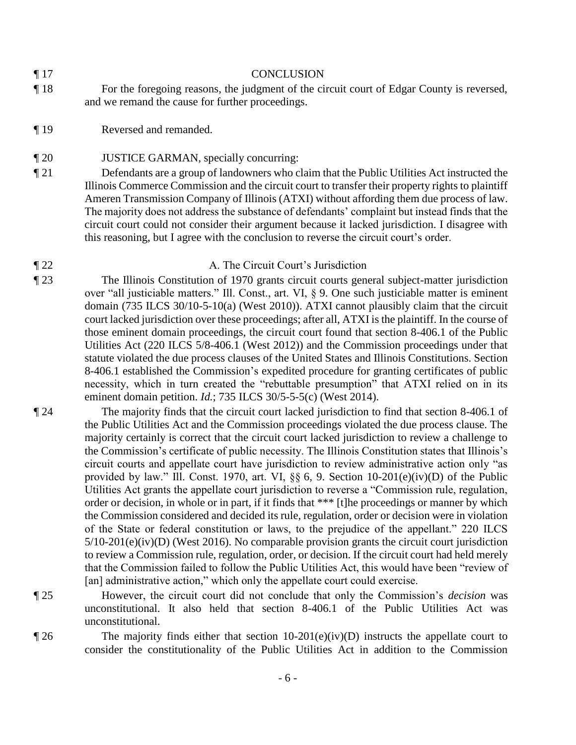## ¶ 17 CONCLUSION

- ¶ 18 For the foregoing reasons, the judgment of the circuit court of Edgar County is reversed, and we remand the cause for further proceedings.
- ¶ 19 Reversed and remanded.
- ¶ 20 JUSTICE GARMAN, specially concurring:
- ¶ 21 Defendants are a group of landowners who claim that the Public Utilities Act instructed the Illinois Commerce Commission and the circuit court to transfer their property rights to plaintiff Ameren Transmission Company of Illinois (ATXI) without affording them due process of law. The majority does not address the substance of defendants' complaint but instead finds that the circuit court could not consider their argument because it lacked jurisdiction. I disagree with this reasoning, but I agree with the conclusion to reverse the circuit court's order.

# ¶ 22 A. The Circuit Court's Jurisdiction

¶ 23 The Illinois Constitution of 1970 grants circuit courts general subject-matter jurisdiction over "all justiciable matters." Ill. Const., art. VI, § 9. One such justiciable matter is eminent domain (735 ILCS 30/10-5-10(a) (West 2010)). ATXI cannot plausibly claim that the circuit court lacked jurisdiction over these proceedings; after all, ATXI is the plaintiff. In the course of those eminent domain proceedings, the circuit court found that section 8-406.1 of the Public Utilities Act (220 ILCS 5/8-406.1 (West 2012)) and the Commission proceedings under that statute violated the due process clauses of the United States and Illinois Constitutions. Section 8-406.1 established the Commission's expedited procedure for granting certificates of public necessity, which in turn created the "rebuttable presumption" that ATXI relied on in its eminent domain petition. *Id.*; 735 ILCS 30/5-5-5(c) (West 2014).

¶ 24 The majority finds that the circuit court lacked jurisdiction to find that section 8-406.1 of the Public Utilities Act and the Commission proceedings violated the due process clause. The majority certainly is correct that the circuit court lacked jurisdiction to review a challenge to the Commission's certificate of public necessity. The Illinois Constitution states that Illinois's circuit courts and appellate court have jurisdiction to review administrative action only "as provided by law." Ill. Const. 1970, art. VI, §§ 6, 9. Section 10-201(e)(iv)(D) of the Public Utilities Act grants the appellate court jurisdiction to reverse a "Commission rule, regulation, order or decision, in whole or in part, if it finds that \*\*\* [t]he proceedings or manner by which the Commission considered and decided its rule, regulation, order or decision were in violation of the State or federal constitution or laws, to the prejudice of the appellant." 220 ILCS 5/10-201(e)(iv)(D) (West 2016). No comparable provision grants the circuit court jurisdiction to review a Commission rule, regulation, order, or decision. If the circuit court had held merely that the Commission failed to follow the Public Utilities Act, this would have been "review of [an] administrative action," which only the appellate court could exercise.

¶ 25 However, the circuit court did not conclude that only the Commission's *decision* was

unconstitutional.  $\P$  26 The majority finds either that section 10-201(e)(iv)(D) instructs the appellate court to consider the constitutionality of the Public Utilities Act in addition to the Commission

unconstitutional. It also held that section 8-406.1 of the Public Utilities Act was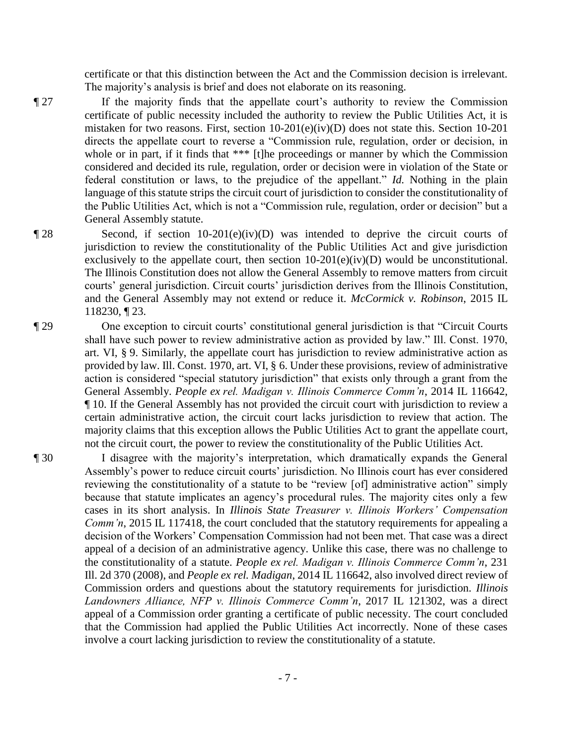certificate or that this distinction between the Act and the Commission decision is irrelevant. The majority's analysis is brief and does not elaborate on its reasoning.

- ¶ 27 If the majority finds that the appellate court's authority to review the Commission certificate of public necessity included the authority to review the Public Utilities Act, it is mistaken for two reasons. First, section  $10-201(e)(iv)(D)$  does not state this. Section  $10-201$ directs the appellate court to reverse a "Commission rule, regulation, order or decision, in whole or in part, if it finds that \*\*\* [t]he proceedings or manner by which the Commission considered and decided its rule, regulation, order or decision were in violation of the State or federal constitution or laws, to the prejudice of the appellant." *Id.* Nothing in the plain language of this statute strips the circuit court of jurisdiction to consider the constitutionality of the Public Utilities Act, which is not a "Commission rule, regulation, order or decision" but a General Assembly statute.
- ¶ 28 Second, if section 10-201(e)(iv)(D) was intended to deprive the circuit courts of jurisdiction to review the constitutionality of the Public Utilities Act and give jurisdiction exclusively to the appellate court, then section  $10-201(e)(iv)(D)$  would be unconstitutional. The Illinois Constitution does not allow the General Assembly to remove matters from circuit courts' general jurisdiction. Circuit courts' jurisdiction derives from the Illinois Constitution, and the General Assembly may not extend or reduce it. *McCormick v. Robinson*, 2015 IL 118230, ¶ 23.
- ¶ 29 One exception to circuit courts' constitutional general jurisdiction is that "Circuit Courts shall have such power to review administrative action as provided by law." Ill. Const. 1970, art. VI, § 9. Similarly, the appellate court has jurisdiction to review administrative action as provided by law. Ill. Const. 1970, art. VI, § 6. Under these provisions, review of administrative action is considered "special statutory jurisdiction" that exists only through a grant from the General Assembly. *People ex rel. Madigan v. Illinois Commerce Comm'n*, 2014 IL 116642, ¶ 10. If the General Assembly has not provided the circuit court with jurisdiction to review a certain administrative action, the circuit court lacks jurisdiction to review that action. The majority claims that this exception allows the Public Utilities Act to grant the appellate court, not the circuit court, the power to review the constitutionality of the Public Utilities Act.
- ¶ 30 I disagree with the majority's interpretation, which dramatically expands the General Assembly's power to reduce circuit courts' jurisdiction. No Illinois court has ever considered reviewing the constitutionality of a statute to be "review [of] administrative action" simply because that statute implicates an agency's procedural rules. The majority cites only a few cases in its short analysis. In *Illinois State Treasurer v. Illinois Workers' Compensation Comm'n*, 2015 IL 117418, the court concluded that the statutory requirements for appealing a decision of the Workers' Compensation Commission had not been met. That case was a direct appeal of a decision of an administrative agency. Unlike this case, there was no challenge to the constitutionality of a statute. *People ex rel. Madigan v. Illinois Commerce Comm'n*, 231 Ill. 2d 370 (2008), and *People ex rel. Madigan*, 2014 IL 116642, also involved direct review of Commission orders and questions about the statutory requirements for jurisdiction. *Illinois Landowners Alliance, NFP v. Illinois Commerce Comm'n*, 2017 IL 121302, was a direct appeal of a Commission order granting a certificate of public necessity. The court concluded that the Commission had applied the Public Utilities Act incorrectly. None of these cases involve a court lacking jurisdiction to review the constitutionality of a statute.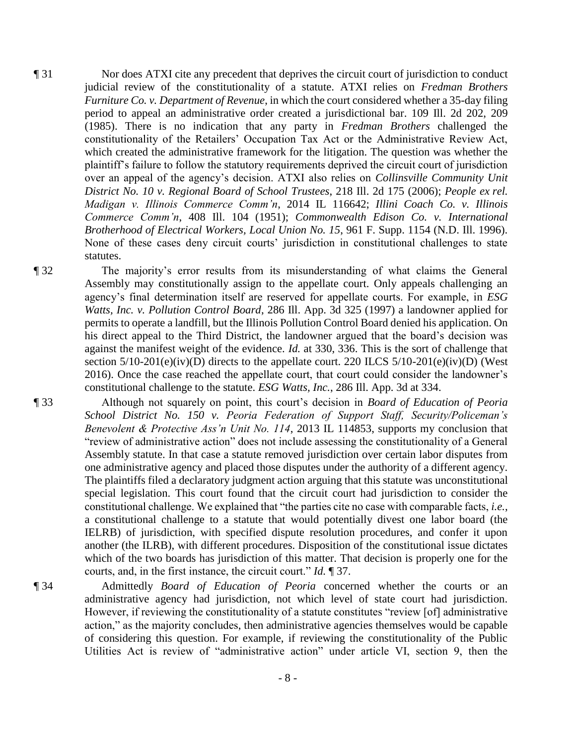¶ 31 Nor does ATXI cite any precedent that deprives the circuit court of jurisdiction to conduct judicial review of the constitutionality of a statute. ATXI relies on *Fredman Brothers Furniture Co. v. Department of Revenue*, in which the court considered whether a 35-day filing period to appeal an administrative order created a jurisdictional bar. 109 Ill. 2d 202, 209 (1985). There is no indication that any party in *Fredman Brothers* challenged the constitutionality of the Retailers' Occupation Tax Act or the Administrative Review Act, which created the administrative framework for the litigation. The question was whether the plaintiff's failure to follow the statutory requirements deprived the circuit court of jurisdiction over an appeal of the agency's decision. ATXI also relies on *Collinsville Community Unit District No. 10 v. Regional Board of School Trustees*, 218 Ill. 2d 175 (2006); *People ex rel. Madigan v. Illinois Commerce Comm'n*, 2014 IL 116642; *Illini Coach Co. v. Illinois Commerce Comm'n*, 408 Ill. 104 (1951); *Commonwealth Edison Co. v. International Brotherhood of Electrical Workers, Local Union No. 15*, 961 F. Supp. 1154 (N.D. Ill. 1996). None of these cases deny circuit courts' jurisdiction in constitutional challenges to state statutes.

¶ 32 The majority's error results from its misunderstanding of what claims the General Assembly may constitutionally assign to the appellate court. Only appeals challenging an agency's final determination itself are reserved for appellate courts. For example, in *ESG Watts, Inc. v. Pollution Control Board*, 286 Ill. App. 3d 325 (1997) a landowner applied for permits to operate a landfill, but the Illinois Pollution Control Board denied his application. On his direct appeal to the Third District, the landowner argued that the board's decision was against the manifest weight of the evidence. *Id.* at 330, 336. This is the sort of challenge that section  $5/10-201(e)(iv)(D)$  directs to the appellate court. 220 ILCS  $5/10-201(e)(iv)(D)$  (West 2016). Once the case reached the appellate court, that court could consider the landowner's constitutional challenge to the statute. *ESG Watts, Inc.*, 286 Ill. App. 3d at 334.

¶ 33 Although not squarely on point, this court's decision in *Board of Education of Peoria School District No. 150 v. Peoria Federation of Support Staff, Security/Policeman's Benevolent & Protective Ass'n Unit No. 114*, 2013 IL 114853, supports my conclusion that "review of administrative action" does not include assessing the constitutionality of a General Assembly statute. In that case a statute removed jurisdiction over certain labor disputes from one administrative agency and placed those disputes under the authority of a different agency. The plaintiffs filed a declaratory judgment action arguing that this statute was unconstitutional special legislation. This court found that the circuit court had jurisdiction to consider the constitutional challenge. We explained that "the parties cite no case with comparable facts, *i.e.*, a constitutional challenge to a statute that would potentially divest one labor board (the IELRB) of jurisdiction, with specified dispute resolution procedures, and confer it upon another (the ILRB), with different procedures. Disposition of the constitutional issue dictates which of the two boards has jurisdiction of this matter. That decision is properly one for the courts, and, in the first instance, the circuit court." *Id.* ¶ 37.

¶ 34 Admittedly *Board of Education of Peoria* concerned whether the courts or an administrative agency had jurisdiction, not which level of state court had jurisdiction. However, if reviewing the constitutionality of a statute constitutes "review [of] administrative action," as the majority concludes, then administrative agencies themselves would be capable of considering this question. For example, if reviewing the constitutionality of the Public Utilities Act is review of "administrative action" under article VI, section 9, then the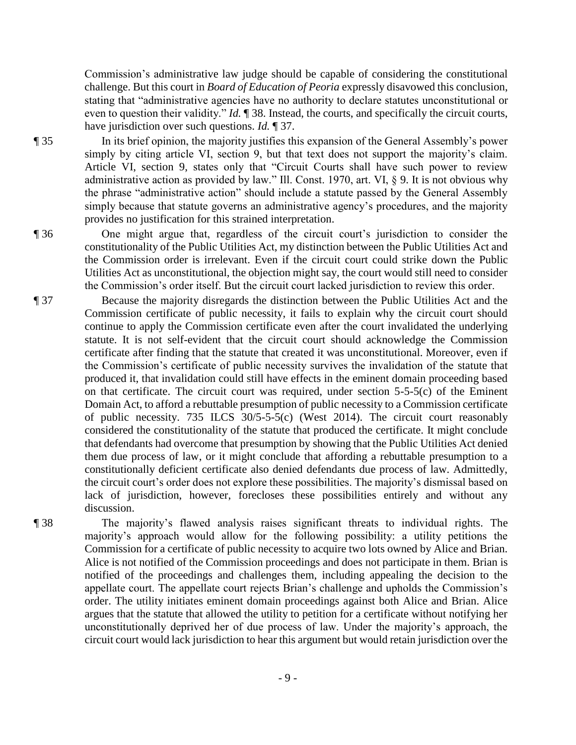Commission's administrative law judge should be capable of considering the constitutional challenge. But this court in *Board of Education of Peoria* expressly disavowed this conclusion, stating that "administrative agencies have no authority to declare statutes unconstitutional or even to question their validity." *Id.* ¶ 38. Instead, the courts, and specifically the circuit courts, have jurisdiction over such questions. *Id.* ¶ 37.

¶ 35 In its brief opinion, the majority justifies this expansion of the General Assembly's power simply by citing article VI, section 9, but that text does not support the majority's claim. Article VI, section 9, states only that "Circuit Courts shall have such power to review administrative action as provided by law." Ill. Const. 1970, art. VI, § 9. It is not obvious why the phrase "administrative action" should include a statute passed by the General Assembly simply because that statute governs an administrative agency's procedures, and the majority provides no justification for this strained interpretation.

¶ 36 One might argue that, regardless of the circuit court's jurisdiction to consider the constitutionality of the Public Utilities Act, my distinction between the Public Utilities Act and the Commission order is irrelevant. Even if the circuit court could strike down the Public Utilities Act as unconstitutional, the objection might say, the court would still need to consider the Commission's order itself. But the circuit court lacked jurisdiction to review this order.

¶ 37 Because the majority disregards the distinction between the Public Utilities Act and the Commission certificate of public necessity, it fails to explain why the circuit court should continue to apply the Commission certificate even after the court invalidated the underlying statute. It is not self-evident that the circuit court should acknowledge the Commission certificate after finding that the statute that created it was unconstitutional. Moreover, even if the Commission's certificate of public necessity survives the invalidation of the statute that produced it, that invalidation could still have effects in the eminent domain proceeding based on that certificate. The circuit court was required, under section 5-5-5(c) of the Eminent Domain Act, to afford a rebuttable presumption of public necessity to a Commission certificate of public necessity. 735 ILCS 30/5-5-5(c) (West 2014). The circuit court reasonably considered the constitutionality of the statute that produced the certificate. It might conclude that defendants had overcome that presumption by showing that the Public Utilities Act denied them due process of law, or it might conclude that affording a rebuttable presumption to a constitutionally deficient certificate also denied defendants due process of law. Admittedly, the circuit court's order does not explore these possibilities. The majority's dismissal based on lack of jurisdiction, however, forecloses these possibilities entirely and without any discussion.

¶ 38 The majority's flawed analysis raises significant threats to individual rights. The majority's approach would allow for the following possibility: a utility petitions the Commission for a certificate of public necessity to acquire two lots owned by Alice and Brian. Alice is not notified of the Commission proceedings and does not participate in them. Brian is notified of the proceedings and challenges them, including appealing the decision to the appellate court. The appellate court rejects Brian's challenge and upholds the Commission's order. The utility initiates eminent domain proceedings against both Alice and Brian. Alice argues that the statute that allowed the utility to petition for a certificate without notifying her unconstitutionally deprived her of due process of law. Under the majority's approach, the circuit court would lack jurisdiction to hear this argument but would retain jurisdiction over the

- 9 -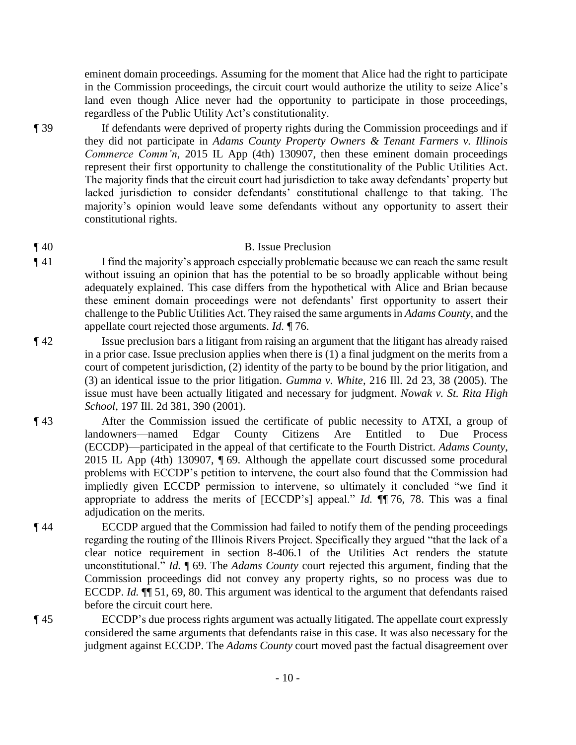eminent domain proceedings. Assuming for the moment that Alice had the right to participate in the Commission proceedings, the circuit court would authorize the utility to seize Alice's land even though Alice never had the opportunity to participate in those proceedings, regardless of the Public Utility Act's constitutionality.

¶ 39 If defendants were deprived of property rights during the Commission proceedings and if they did not participate in *Adams County Property Owners & Tenant Farmers v. Illinois Commerce Comm'n*, 2015 IL App (4th) 130907, then these eminent domain proceedings represent their first opportunity to challenge the constitutionality of the Public Utilities Act. The majority finds that the circuit court had jurisdiction to take away defendants' property but lacked jurisdiction to consider defendants' constitutional challenge to that taking. The majority's opinion would leave some defendants without any opportunity to assert their constitutional rights.

# ¶ 40 B. Issue Preclusion

- ¶ 41 I find the majority's approach especially problematic because we can reach the same result without issuing an opinion that has the potential to be so broadly applicable without being adequately explained. This case differs from the hypothetical with Alice and Brian because these eminent domain proceedings were not defendants' first opportunity to assert their challenge to the Public Utilities Act. They raised the same arguments in *Adams County*, and the appellate court rejected those arguments. *Id.* ¶ 76.
- ¶ 42 Issue preclusion bars a litigant from raising an argument that the litigant has already raised in a prior case. Issue preclusion applies when there is (1) a final judgment on the merits from a court of competent jurisdiction, (2) identity of the party to be bound by the prior litigation, and (3) an identical issue to the prior litigation. *Gumma v. White*, 216 Ill. 2d 23, 38 (2005). The issue must have been actually litigated and necessary for judgment. *Nowak v. St. Rita High School*, 197 Ill. 2d 381, 390 (2001).
- ¶ 43 After the Commission issued the certificate of public necessity to ATXI, a group of landowners—named Edgar County Citizens Are Entitled to Due Process (ECCDP)—participated in the appeal of that certificate to the Fourth District. *Adams County*, 2015 IL App (4th) 130907, ¶ 69. Although the appellate court discussed some procedural problems with ECCDP's petition to intervene, the court also found that the Commission had impliedly given ECCDP permission to intervene, so ultimately it concluded "we find it appropriate to address the merits of [ECCDP's] appeal." *Id.* ¶¶ 76, 78. This was a final adjudication on the merits.
- ¶ 44 ECCDP argued that the Commission had failed to notify them of the pending proceedings regarding the routing of the Illinois Rivers Project. Specifically they argued "that the lack of a clear notice requirement in section 8-406.1 of the Utilities Act renders the statute unconstitutional." *Id.* ¶ 69. The *Adams County* court rejected this argument, finding that the Commission proceedings did not convey any property rights, so no process was due to ECCDP. *Id.* ¶¶ 51, 69, 80. This argument was identical to the argument that defendants raised before the circuit court here.
- ¶ 45 ECCDP's due process rights argument was actually litigated. The appellate court expressly considered the same arguments that defendants raise in this case. It was also necessary for the judgment against ECCDP. The *Adams County* court moved past the factual disagreement over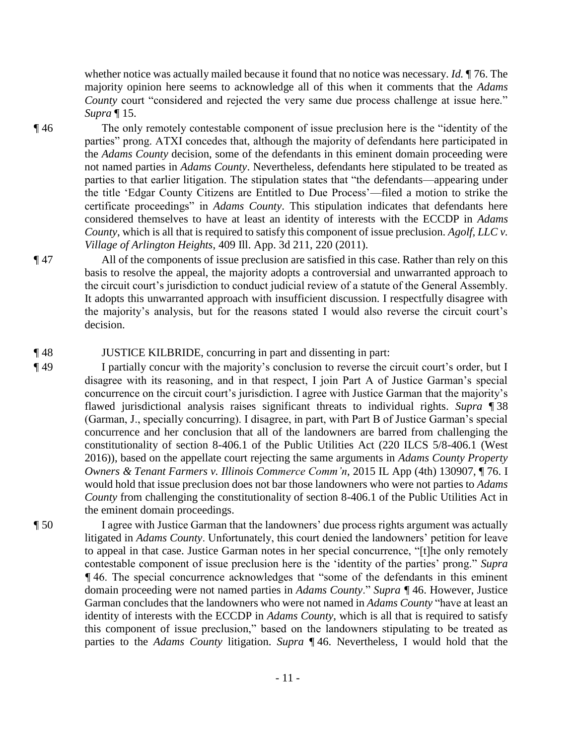whether notice was actually mailed because it found that no notice was necessary. *Id.* ¶ 76. The majority opinion here seems to acknowledge all of this when it comments that the *Adams County* court "considered and rejected the very same due process challenge at issue here." *Supra* ¶ 15.

¶ 46 The only remotely contestable component of issue preclusion here is the "identity of the parties" prong. ATXI concedes that, although the majority of defendants here participated in the *Adams County* decision, some of the defendants in this eminent domain proceeding were not named parties in *Adams County*. Nevertheless, defendants here stipulated to be treated as parties to that earlier litigation. The stipulation states that "the defendants—appearing under the title 'Edgar County Citizens are Entitled to Due Process'—filed a motion to strike the certificate proceedings" in *Adams County*. This stipulation indicates that defendants here considered themselves to have at least an identity of interests with the ECCDP in *Adams County*, which is all that is required to satisfy this component of issue preclusion. *Agolf, LLC v. Village of Arlington Heights*, 409 Ill. App. 3d 211, 220 (2011).

- ¶ 47 All of the components of issue preclusion are satisfied in this case. Rather than rely on this basis to resolve the appeal, the majority adopts a controversial and unwarranted approach to the circuit court's jurisdiction to conduct judicial review of a statute of the General Assembly. It adopts this unwarranted approach with insufficient discussion. I respectfully disagree with the majority's analysis, but for the reasons stated I would also reverse the circuit court's decision.
- ¶ 48 JUSTICE KILBRIDE, concurring in part and dissenting in part:
- ¶ 49 I partially concur with the majority's conclusion to reverse the circuit court's order, but I disagree with its reasoning, and in that respect, I join Part A of Justice Garman's special concurrence on the circuit court's jurisdiction. I agree with Justice Garman that the majority's flawed jurisdictional analysis raises significant threats to individual rights. *Supra* ¶ 38 (Garman, J., specially concurring). I disagree, in part, with Part B of Justice Garman's special concurrence and her conclusion that all of the landowners are barred from challenging the constitutionality of section 8-406.1 of the Public Utilities Act (220 ILCS 5/8-406.1 (West 2016)), based on the appellate court rejecting the same arguments in *Adams County Property Owners & Tenant Farmers v. Illinois Commerce Comm'n*, 2015 IL App (4th) 130907, ¶ 76. I would hold that issue preclusion does not bar those landowners who were not parties to *Adams County* from challenging the constitutionality of section 8-406.1 of the Public Utilities Act in the eminent domain proceedings.
- ¶ 50 I agree with Justice Garman that the landowners' due process rights argument was actually litigated in *Adams County*. Unfortunately, this court denied the landowners' petition for leave to appeal in that case. Justice Garman notes in her special concurrence, "[t]he only remotely contestable component of issue preclusion here is the 'identity of the parties' prong." *Supra ¶* 46. The special concurrence acknowledges that "some of the defendants in this eminent domain proceeding were not named parties in *Adams County*." *Supra ¶* 46. However, Justice Garman concludes that the landowners who were not named in *Adams County* "have at least an identity of interests with the ECCDP in *Adams County*, which is all that is required to satisfy this component of issue preclusion," based on the landowners stipulating to be treated as parties to the *Adams County* litigation. *Supra* ¶ 46. Nevertheless, I would hold that the